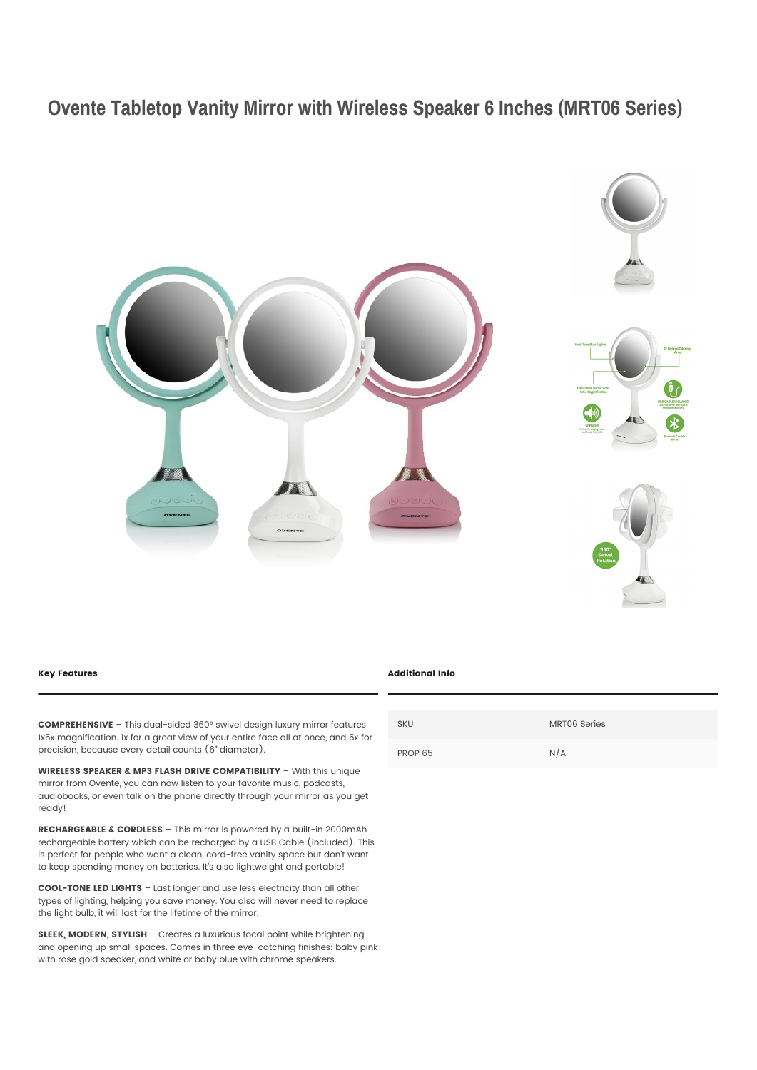## **Ovente Tabletop Vanity Mirror with Wireless Speaker 6 Inches (MRT06 Series)**



## **Key Features**

**COMPREHENSIVE** – This dual-sided 360° swivel design luxury mirror features 1x5x magnification. 1x for a great view of your entire face all at once, and 5x for precision, because every detail counts (6" diameter).

**WIRELESS SPEAKER & MP3 FLASH DRIVE COMPATIBILITY** – With this unique mirror from Ovente, you can now listen to your favorite music, podcasts, audiobooks, or even talk on the phone directly through your mirror as you get ready!

**RECHARGEABLE & CORDLESS** – This mirror is powered by a built-in 2000mAh rechargeable battery which can be recharged by a USB Cable (included). This is perfect for people who want a clean, cord-free vanity space but don't want to keep spending money on batteries. It's also lightweight and portable!

**COOL-TONE LED LIGHTS** – Last longer and use less electricity than all other types of lighting, helping you save money. You also will never need to replace the light bulb, it will last for the lifetime of the mirror.

**SLEEK, MODERN, STYLISH** – Creates a luxurious focal point while brightening and opening up small spaces. Comes in three eye-catching finishes: baby pink with rose gold speaker, and white or baby blue with chrome speakers.

## **Additional Info**

| <b>SKU</b> | MRT06 Series |
|------------|--------------|
| PROP 65    | N/A          |